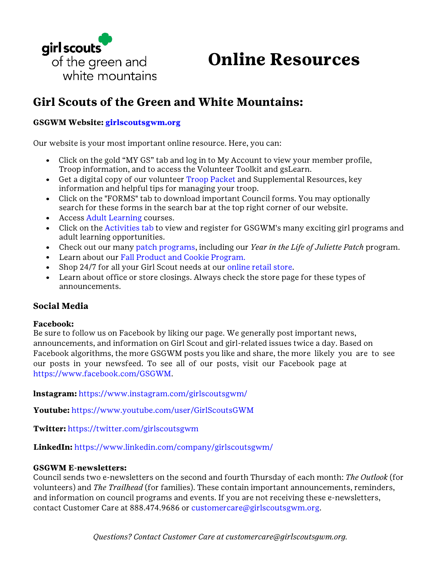

**Online Resources**

## **Girl Scouts of the Green and White Mountains:**

### **GSGWM Website: [girlscoutsgwm.org](http://www.girlscoutsgwm.org/)**

Our website is your most important online resource. Here, you can:

- Click on the gold "MY GS" tab and log in to My Account to view your member profile, Troop information, and to access the Volunteer Toolkit and gsLearn.
- Get a digital copy of our volunteer [Troop Packet a](http://www.girlscoutsgwm.org/en/for-volunteers/troop-packet.html)nd Supplemental Resources, key information and helpful tips for managing your troop.
- Click on the "FORMS" tab to download important Council forms. You may optionally search for these forms in the search bar at the top right corner of our website.
- Access [Adult Learning c](http://www.girlscoutsgwm.org/en/for-volunteers/online-resources/adult-learning-course-descriptions.html)ourses.
- Click on the [Activities tab t](http://www.girlscoutsgwm.org/en/activities/activities-list.html)o view and register for GSGWM's many exciting girl programs and adult learning opportunities.
- Check out our many [patch programs,](http://www.girlscoutsgwm.org/en/about-girl-scouts/badges-and-patches/patch-program.html) including our *Year in the Life of Juliette Patch* program.
- Learn about our [Fall Product and Cookie Program.](http://www.girlscoutsgwm.org/en/cookies/about-girl-scout-cookies.html)
- Shop 24/7 for all your Girl Scout needs at our [online retail store.](http://www.girlscoutsgwm.org/en/our-council/shop.html)
- Learn about office or store closings. Always check the store page for these types of announcements.

### **Social Media**

#### **Facebook:**

Be sure to follow us on Facebook by liking our page. We generally post important news, announcements, and information on Girl Scout and girl-related issues twice a day. Based on Facebook algorithms, the more GSGWM posts you like and share, the more likely you are to see our posts in your newsfeed. To see all of our posts, visit our Facebook page at [https://www.facebook.com/GSGWM.](https://www.facebook.com/GSGWM)

**lnstagram:** <https://www.instagram.com/girlscoutsgwm/>

**Youtube:** <https://www.youtube.com/user/GirlScoutsGWM>

**Twitter:** <https://twitter.com/girlscoutsgwm>

**LinkedIn:** <https://www.linkedin.com/company/girlscoutsgwm/>

#### **GSGWM E-newsletters:**

Council sends two e-newsletters on the second and fourth Thursday of each month: *The Outlook* (for volunteers) and *The Trailhead* (for families). These contain important announcements, reminders, and information on council programs and events. If you are not receiving these e-newsletters, contact Customer Care at 888.474.9686 or [customercare@girlscoutsgwm.org.](mailto:customercare@girlscoutsgwm.org)